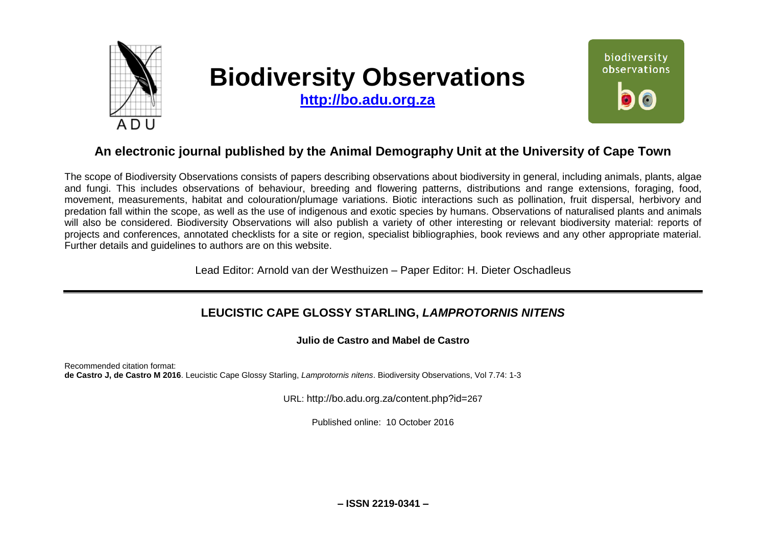

# **Biodiversity Observations**

**[http://bo.adu.org.za](http://bo.adu.org.za/)**



# **An electronic journal published by the Animal Demography Unit at the University of Cape Town**

The scope of Biodiversity Observations consists of papers describing observations about biodiversity in general, including animals, plants, algae and fungi. This includes observations of behaviour, breeding and flowering patterns, distributions and range extensions, foraging, food, movement, measurements, habitat and colouration/plumage variations. Biotic interactions such as pollination, fruit dispersal, herbivory and predation fall within the scope, as well as the use of indigenous and exotic species by humans. Observations of naturalised plants and animals will also be considered. Biodiversity Observations will also publish a variety of other interesting or relevant biodiversity material: reports of projects and conferences, annotated checklists for a site or region, specialist bibliographies, book reviews and any other appropriate material. Further details and guidelines to authors are on this website.

Lead Editor: Arnold van der Westhuizen – Paper Editor: H. Dieter Oschadleus

## **LEUCISTIC CAPE GLOSSY STARLING,** *LAMPROTORNIS NITENS*

**Julio de Castro and Mabel de Castro**

Recommended citation format: **de Castro J, de Castro M 2016**. Leucistic Cape Glossy Starling, *Lamprotornis nitens*. Biodiversity Observations, Vol 7.74: 1-3

URL: http://bo.adu.org.za/content.php?id=267

Published online: 10 October 2016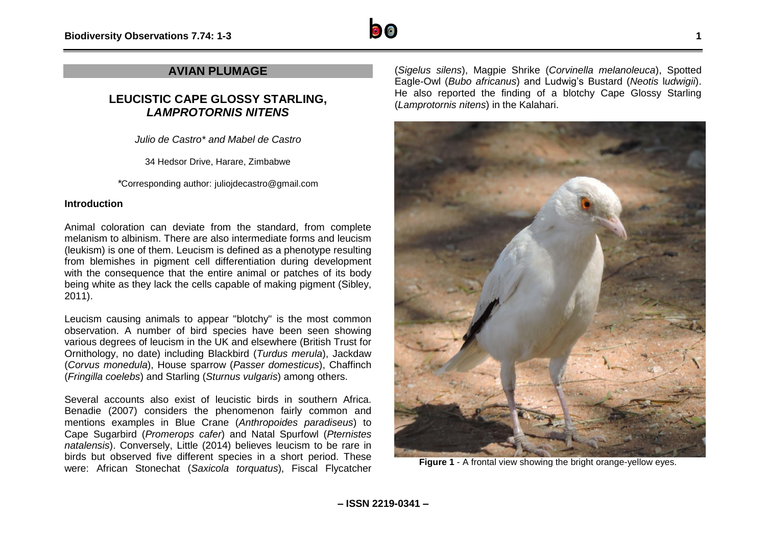

### **AVIAN PLUMAGE**

## **LEUCISTIC CAPE GLOSSY STARLING,**  *LAMPROTORNIS NITENS*

*Julio de Castro\* and Mabel de Castro*

34 Hedsor Drive, Harare, Zimbabwe

*\**Corresponding author: juliojdecastro@gmail.com

#### **Introduction**

Animal coloration can deviate from the standard, from complete melanism to albinism. There are also intermediate forms and leucism (leukism) is one of them. Leucism is defined as a phenotype resulting from blemishes in pigment cell differentiation during development with the consequence that the entire animal or patches of its body being white as they lack the cells capable of making pigment (Sibley, 2011).

Leucism causing animals to appear "blotchy" is the most common observation. A number of bird species have been seen showing various degrees of leucism in the UK and elsewhere (British Trust for Ornithology, no date) including Blackbird (*Turdus merula*), Jackdaw (*Corvus monedula*), House sparrow (*Passer domesticus*), Chaffinch (*Fringilla coelebs*) and Starling (*Sturnus vulgaris*) among others.

Several accounts also exist of leucistic birds in southern Africa. Benadie (2007) considers the phenomenon fairly common and mentions examples in Blue Crane (*Anthropoides paradiseus*) to Cape Sugarbird (*Promerops cafer*) and Natal Spurfowl (*Pternistes natalensis*). Conversely, Little (2014) believes leucism to be rare in birds but observed five different species in a short period. These were: African Stonechat (*Saxicola torquatus*), Fiscal Flycatcher

(*Sigelus silens*), Magpie Shrike (*Corvinella melanoleuca*), Spotted Eagle-Owl (*Bubo africanus*) and Ludwig's Bustard (*Neotis* l*udwigii*). He also reported the finding of a blotchy Cape Glossy Starling (*Lamprotornis nitens*) in the Kalahari.



**Figure 1** - A frontal view showing the bright orange-yellow eyes.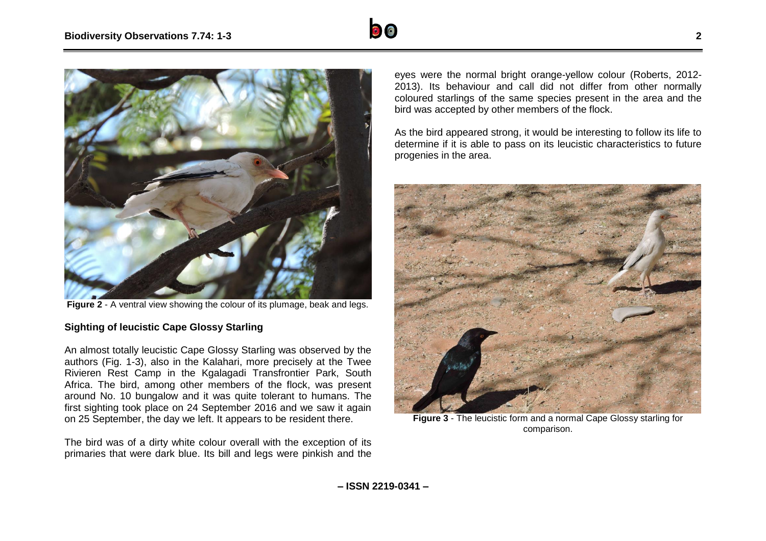



**Figure 2** - A ventral view showing the colour of its plumage, beak and legs.

#### **Sighting of leucistic Cape Glossy Starling**

An almost totally leucistic Cape Glossy Starling was observed by the authors (Fig. 1-3), also in the Kalahari, more precisely at the Twee Rivieren Rest Camp in the Kgalagadi Transfrontier Park, South Africa. The bird, among other members of the flock, was present around No. 10 bungalow and it was quite tolerant to humans. The first sighting took place on 24 September 2016 and we saw it again on 25 September, the day we left. It appears to be resident there.

The bird was of a dirty white colour overall with the exception of its primaries that were dark blue. Its bill and legs were pinkish and the

eyes were the normal bright orange-yellow colour (Roberts, 2012- 2013). Its behaviour and call did not differ from other normally coloured starlings of the same species present in the area and the bird was accepted by other members of the flock.

As the bird appeared strong, it would be interesting to follow its life to determine if it is able to pass on its leucistic characteristics to future progenies in the area.



**Figure 3** - The leucistic form and a normal Cape Glossy starling for comparison.